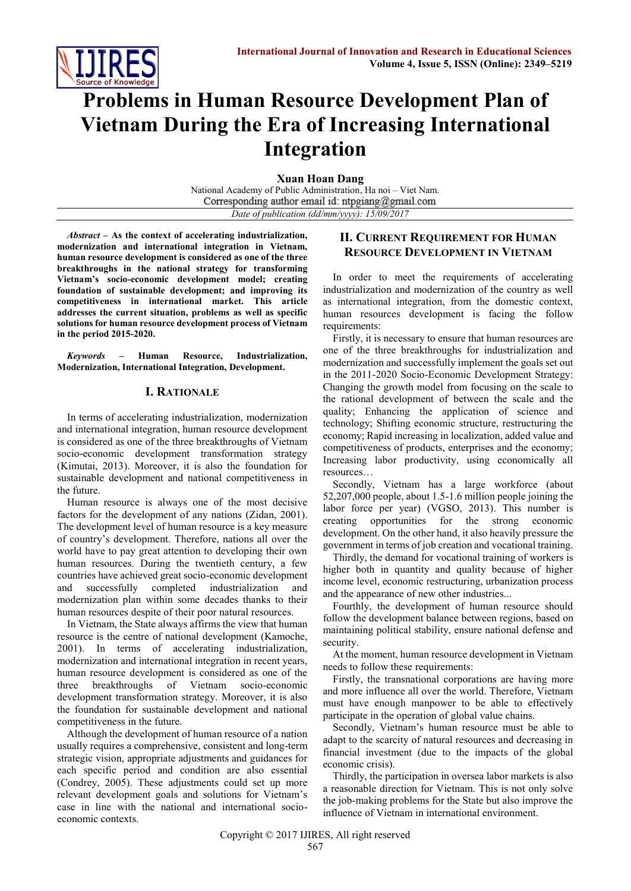

# **Problems in Human Resource Development Plan of Vietnam During the Era of Increasing International Integration**

**Xuan Hoan Dang**

National Academy of Public Administration, Ha noi – Viet Nam. Corresponding author email id: ntpgiang@gmail.com *Date of publication (dd/mm/yyyy): 15/09/2017*

*Abstract* **– As the context of accelerating industrialization, modernization and international integration in Vietnam, human resource development is considered as one of the three breakthroughs in the national strategy for transforming Vietnam's socio-economic development model; creating foundation of sustainable development; and improving its competitiveness in international market. This article addresses the current situation, problems as well as specific solutions for human resource development process of Vietnam in the period 2015-2020.**

*Keywords –* **Human Resource, Industrialization, Modernization, International Integration, Development.**

#### **I. RATIONALE**

In terms of accelerating industrialization, modernization and international integration, human resource development is considered as one of the three breakthroughs of Vietnam socio-economic development transformation strategy (Kimutai, 2013). Moreover, it is also the foundation for sustainable development and national competitiveness in the future.

Human resource is always one of the most decisive factors for the development of any nations (Zidan, 2001). The development level of human resource is a key measure of country's development. Therefore, nations all over the world have to pay great attention to developing their own human resources. During the twentieth century, a few countries have achieved great socio-economic development and successfully completed industrialization and modernization plan within some decades thanks to their human resources despite of their poor natural resources.

In Vietnam, the State always affirms the view that human resource is the centre of national development (Kamoche, 2001). In terms of accelerating industrialization, modernization and international integration in recent years, human resource development is considered as one of the three breakthroughs of Vietnam socio-economic development transformation strategy. Moreover, it is also the foundation for sustainable development and national competitiveness in the future.

Although the development of human resource of a nation usually requires a comprehensive, consistent and long-term strategic vision, appropriate adjustments and guidances for each specific period and condition are also essential (Condrey, 2005). These adjustments could set up more relevant development goals and solutions for Vietnam's case in line with the national and international socioeconomic contexts.

## **II. CURRENT REQUIREMENT FOR HUMAN RESOURCE DEVELOPMENT IN VIETNAM**

In order to meet the requirements of accelerating industrialization and modernization of the country as well as international integration, from the domestic context, human resources development is facing the follow requirements:

Firstly, it is necessary to ensure that human resources are one of the three breakthroughs for industrialization and modernization and successfully implement the goals set out in the 2011-2020 Socio-Economic Development Strategy: Changing the growth model from focusing on the scale to the rational development of between the scale and the quality; Enhancing the application of science and technology; Shifting economic structure, restructuring the economy; Rapid increasing in localization, added value and competitiveness of products, enterprises and the economy; Increasing labor productivity, using economically all resources…

Secondly, Vietnam has a large workforce (about 52,207,000 people, about 1.5-1.6 million people joining the labor force per year) (VGSO, 2013). This number is creating opportunities for the strong economic development. On the other hand, it also heavily pressure the government in terms of job creation and vocational training.

Thirdly, the demand for vocational training of workers is higher both in quantity and quality because of higher income level, economic restructuring, urbanization process and the appearance of new other industries...

Fourthly, the development of human resource should follow the development balance between regions, based on maintaining political stability, ensure national defense and security.

At the moment, human resource development in Vietnam needs to follow these requirements:

Firstly, the transnational corporations are having more and more influence all over the world. Therefore, Vietnam must have enough manpower to be able to effectively participate in the operation of global value chains.

Secondly, Vietnam's human resource must be able to adapt to the scarcity of natural resources and decreasing in financial investment (due to the impacts of the global economic crisis).

Thirdly, the participation in oversea labor markets is also a reasonable direction for Vietnam. This is not only solve the job-making problems for the State but also improve the influence of Vietnam in international environment.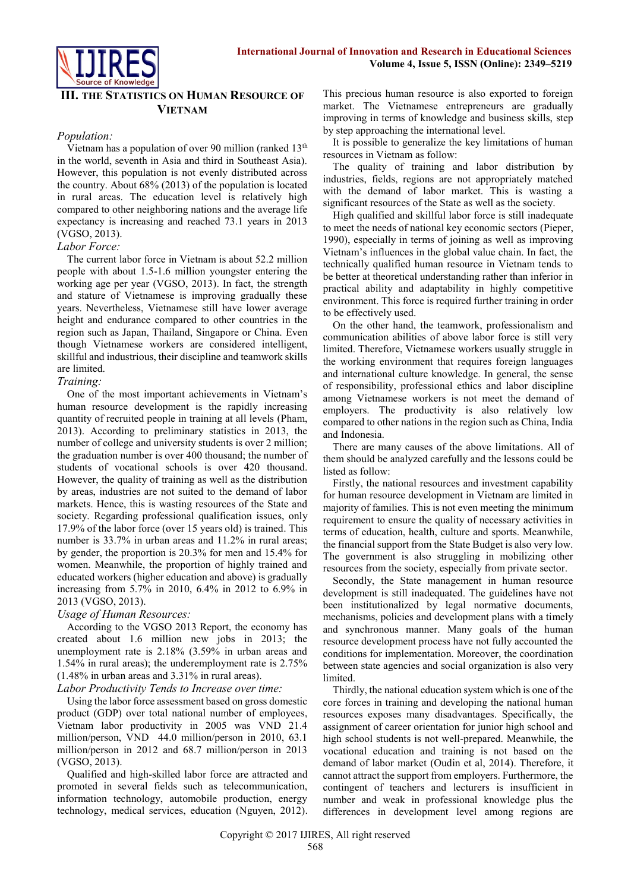

## **III. THE STATISTICS ON HUMAN RESOURCE OF VIETNAM**

#### *Population:*

Vietnam has a population of over 90 million (ranked 13th in the world, seventh in Asia and third in Southeast Asia). However, this population is not evenly distributed across the country. About 68% (2013) of the population is located in rural areas. The education level is relatively high compared to other neighboring nations and the average life expectancy is increasing and reached 73.1 years in 2013 (VGSO, 2013).

#### *Labor Force:*

The current labor force in Vietnam is about 52.2 million people with about 1.5-1.6 million youngster entering the working age per year (VGSO, 2013). In fact, the strength and stature of Vietnamese is improving gradually these years. Nevertheless, Vietnamese still have lower average height and endurance compared to other countries in the region such as Japan, Thailand, Singapore or China. Even though Vietnamese workers are considered intelligent, skillful and industrious, their discipline and teamwork skills are limited.

#### *Training:*

One of the most important achievements in Vietnam's human resource development is the rapidly increasing quantity of recruited people in training at all levels (Pham, 2013). According to preliminary statistics in 2013, the number of college and university students is over 2 million; the graduation number is over 400 thousand; the number of students of vocational schools is over 420 thousand. However, the quality of training as well as the distribution by areas, industries are not suited to the demand of labor markets. Hence, this is wasting resources of the State and society. Regarding professional qualification issues, only 17.9% of the labor force (over 15 years old) is trained. This number is 33.7% in urban areas and 11.2% in rural areas; by gender, the proportion is 20.3% for men and 15.4% for women. Meanwhile, the proportion of highly trained and educated workers (higher education and above) is gradually increasing from 5.7% in 2010, 6.4% in 2012 to 6.9% in 2013 (VGSO, 2013).

#### *Usage of Human Resources:*

According to the VGSO 2013 Report, the economy has created about 1.6 million new jobs in 2013; the unemployment rate is 2.18% (3.59% in urban areas and 1.54% in rural areas); the underemployment rate is 2.75% (1.48% in urban areas and 3.31% in rural areas).

#### *Labor Productivity Tends to Increase over time:*

Using the labor force assessment based on gross domestic product (GDP) over total national number of employees, Vietnam labor productivity in 2005 was VND 21.4 million/person, VND 44.0 million/person in 2010, 63.1 million/person in 2012 and 68.7 million/person in 2013 (VGSO, 2013).

Qualified and high-skilled labor force are attracted and promoted in several fields such as telecommunication, information technology, automobile production, energy technology, medical services, education (Nguyen, 2012). This precious human resource is also exported to foreign market. The Vietnamese entrepreneurs are gradually improving in terms of knowledge and business skills, step by step approaching the international level.

It is possible to generalize the key limitations of human resources in Vietnam as follow:

The quality of training and labor distribution by industries, fields, regions are not appropriately matched with the demand of labor market. This is wasting a significant resources of the State as well as the society.

High qualified and skillful labor force is still inadequate to meet the needs of national key economic sectors (Pieper, 1990), especially in terms of joining as well as improving Vietnam's influences in the global value chain. In fact, the technically qualified human resource in Vietnam tends to be better at theoretical understanding rather than inferior in practical ability and adaptability in highly competitive environment. This force is required further training in order to be effectively used.

On the other hand, the teamwork, professionalism and communication abilities of above labor force is still very limited. Therefore, Vietnamese workers usually struggle in the working environment that requires foreign languages and international culture knowledge. In general, the sense of responsibility, professional ethics and labor discipline among Vietnamese workers is not meet the demand of employers. The productivity is also relatively low compared to other nations in the region such as China, India and Indonesia.

There are many causes of the above limitations. All of them should be analyzed carefully and the lessons could be listed as follow:

Firstly, the national resources and investment capability for human resource development in Vietnam are limited in majority of families. This is not even meeting the minimum requirement to ensure the quality of necessary activities in terms of education, health, culture and sports. Meanwhile, the financial support from the State Budget is also very low. The government is also struggling in mobilizing other resources from the society, especially from private sector.

Secondly, the State management in human resource development is still inadequated. The guidelines have not been institutionalized by legal normative documents, mechanisms, policies and development plans with a timely and synchronous manner. Many goals of the human resource development process have not fully accounted the conditions for implementation. Moreover, the coordination between state agencies and social organization is also very limited.

Thirdly, the national education system which is one of the core forces in training and developing the national human resources exposes many disadvantages. Specifically, the assignment of career orientation for junior high school and high school students is not well-prepared. Meanwhile, the vocational education and training is not based on the demand of labor market (Oudin et al, 2014). Therefore, it cannot attract the support from employers. Furthermore, the contingent of teachers and lecturers is insufficient in number and weak in professional knowledge plus the differences in development level among regions are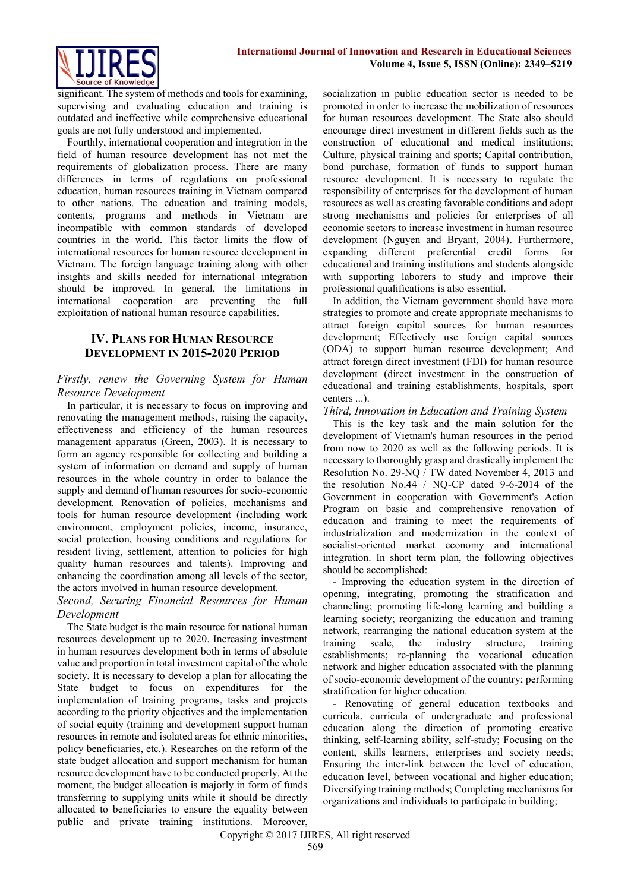

significant. The system of methods and tools for examining, supervising and evaluating education and training is outdated and ineffective while comprehensive educational goals are not fully understood and implemented.

Fourthly, international cooperation and integration in the field of human resource development has not met the requirements of globalization process. There are many differences in terms of regulations on professional education, human resources training in Vietnam compared to other nations. The education and training models, contents, programs and methods in Vietnam are incompatible with common standards of developed countries in the world. This factor limits the flow of international resources for human resource development in Vietnam. The foreign language training along with other insights and skills needed for international integration should be improved. In general, the limitations in international cooperation are preventing the full exploitation of national human resource capabilities.

## **IV. PLANS FOR HUMAN RESOURCE DEVELOPMENT IN 2015-2020 PERIOD**

## *Firstly, renew the Governing System for Human Resource Development*

In particular, it is necessary to focus on improving and renovating the management methods, raising the capacity, effectiveness and efficiency of the human resources management apparatus (Green, 2003). It is necessary to form an agency responsible for collecting and building a system of information on demand and supply of human resources in the whole country in order to balance the supply and demand of human resources for socio-economic development. Renovation of policies, mechanisms and tools for human resource development (including work environment, employment policies, income, insurance, social protection, housing conditions and regulations for resident living, settlement, attention to policies for high quality human resources and talents). Improving and enhancing the coordination among all levels of the sector, the actors involved in human resource development.

## *Second, Securing Financial Resources for Human Development*

The State budget is the main resource for national human resources development up to 2020. Increasing investment in human resources development both in terms of absolute value and proportion in total investment capital of the whole society. It is necessary to develop a plan for allocating the State budget to focus on expenditures for the implementation of training programs, tasks and projects according to the priority objectives and the implementation of social equity (training and development support human resources in remote and isolated areas for ethnic minorities, policy beneficiaries, etc.). Researches on the reform of the state budget allocation and support mechanism for human resource development have to be conducted properly. At the moment, the budget allocation is majorly in form of funds transferring to supplying units while it should be directly allocated to beneficiaries to ensure the equality between public and private training institutions. Moreover,

socialization in public education sector is needed to be promoted in order to increase the mobilization of resources for human resources development. The State also should encourage direct investment in different fields such as the construction of educational and medical institutions; Culture, physical training and sports; Capital contribution, bond purchase, formation of funds to support human resource development. It is necessary to regulate the responsibility of enterprises for the development of human resources as well as creating favorable conditions and adopt strong mechanisms and policies for enterprises of all economic sectors to increase investment in human resource development (Nguyen and Bryant, 2004). Furthermore, expanding different preferential credit forms for educational and training institutions and students alongside with supporting laborers to study and improve their professional qualifications is also essential.

In addition, the Vietnam government should have more strategies to promote and create appropriate mechanisms to attract foreign capital sources for human resources development; Effectively use foreign capital sources (ODA) to support human resource development; And attract foreign direct investment (FDI) for human resource development (direct investment in the construction of educational and training establishments, hospitals, sport centers ...).

#### *Third, Innovation in Education and Training System*

This is the key task and the main solution for the development of Vietnam's human resources in the period from now to 2020 as well as the following periods. It is necessary to thoroughly grasp and drastically implement the Resolution No. 29-NQ / TW dated November 4, 2013 and the resolution No.44 / NQ-CP dated 9-6-2014 of the Government in cooperation with Government's Action Program on basic and comprehensive renovation of education and training to meet the requirements of industrialization and modernization in the context of socialist-oriented market economy and international integration. In short term plan, the following objectives should be accomplished:

- Improving the education system in the direction of opening, integrating, promoting the stratification and channeling; promoting life-long learning and building a learning society; reorganizing the education and training network, rearranging the national education system at the training scale, the industry structure, training establishments; re-planning the vocational education network and higher education associated with the planning of socio-economic development of the country; performing stratification for higher education.

- Renovating of general education textbooks and curricula, curricula of undergraduate and professional education along the direction of promoting creative thinking, self-learning ability, self-study; Focusing on the content, skills learners, enterprises and society needs; Ensuring the inter-link between the level of education, education level, between vocational and higher education; Diversifying training methods; Completing mechanisms for organizations and individuals to participate in building;